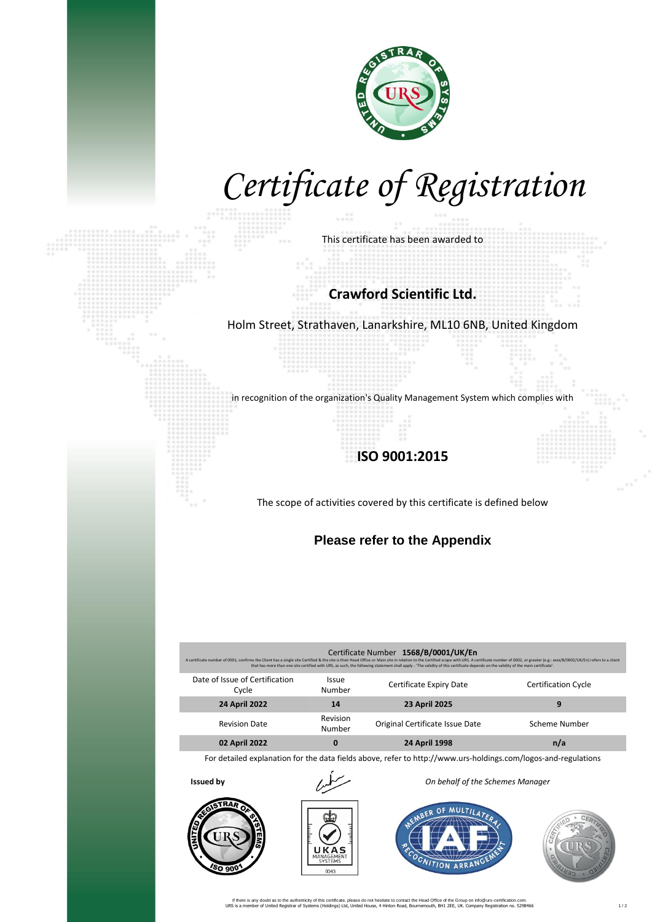

# *Certificate of Registration*

This certificate has been awarded to

#### **Crawford Scientific Ltd.**

Holm Street, Strathaven, Lanarkshire, ML10 6NB, United Kingdom

in recognition of the organization's Quality Management System which complies with

### **ISO 9001:2015**

The scope of activities covered by this certificate is defined below

### **Please refer to the Appendix**

| Certificate Number 1568/B/0001/UK/En<br>A certificate number of 0001, confirms the Client has a single site Certified & the site is their Head Office or Main site in relation to the Certified scope with URS. A certificate number of 0002, or greater (e.g.: xxxx/B<br>that has more than one site certified with URS, as such, the following statement shall apply - 'The validity of this certificate depends on the validity of the main certificate', |                        |                                 |                            |  |
|--------------------------------------------------------------------------------------------------------------------------------------------------------------------------------------------------------------------------------------------------------------------------------------------------------------------------------------------------------------------------------------------------------------------------------------------------------------|------------------------|---------------------------------|----------------------------|--|
| Date of Issue of Certification<br>Cycle                                                                                                                                                                                                                                                                                                                                                                                                                      | <b>Issue</b><br>Number | Certificate Expiry Date         | <b>Certification Cycle</b> |  |
| <b>24 April 2022</b>                                                                                                                                                                                                                                                                                                                                                                                                                                         | 14                     | 23 April 2025                   | 9                          |  |
| <b>Revision Date</b>                                                                                                                                                                                                                                                                                                                                                                                                                                         | Revision<br>Number     | Original Certificate Issue Date | Scheme Number              |  |
| 02 April 2022                                                                                                                                                                                                                                                                                                                                                                                                                                                | 0                      | <b>24 April 1998</b>            | n/a                        |  |

For detailed explanation for the data fields above, refer to http://www.urs-holdings.com/logos-and-regulations





**Issued by** *On behalf of the Schemes Manager*